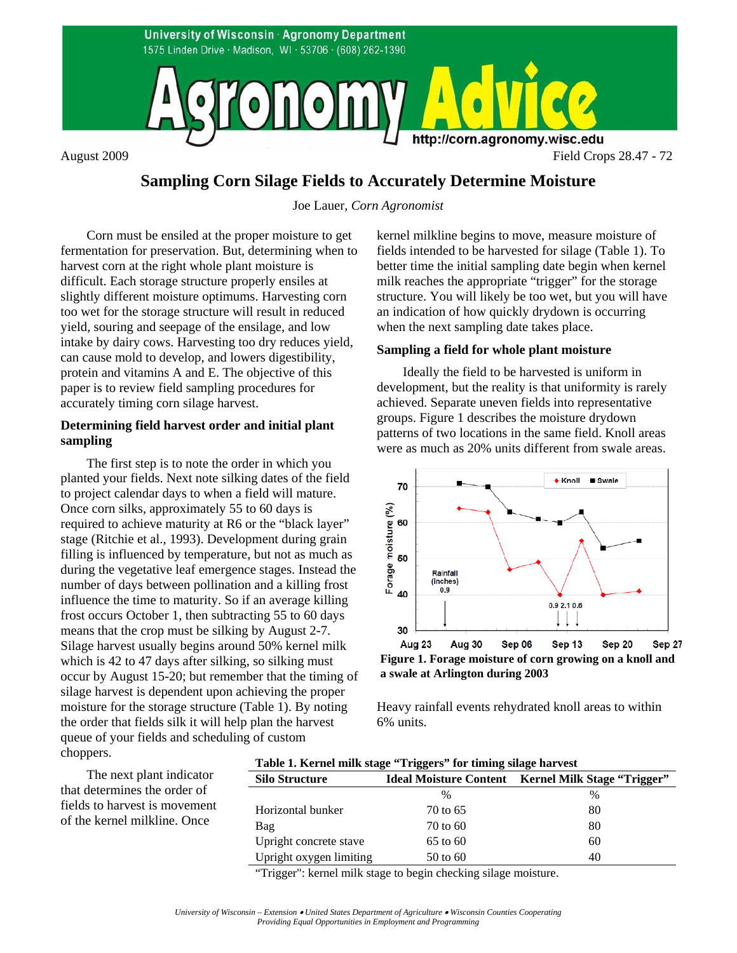

# **Sampling Corn Silage Fields to Accurately Determine Moisture**

Joe Lauer, *Corn Agronomist*

Corn must be ensiled at the proper moisture to get fermentation for preservation. But, determining when to harvest corn at the right whole plant moisture is difficult. Each storage structure properly ensiles at slightly different moisture optimums. Harvesting corn too wet for the storage structure will result in reduced yield, souring and seepage of the ensilage, and low intake by dairy cows. Harvesting too dry reduces yield, can cause mold to develop, and lowers digestibility, protein and vitamins A and E. The objective of this paper is to review field sampling procedures for accurately timing corn silage harvest.

## **Determining field harvest order and initial plant sampling**

The first step is to note the order in which you planted your fields. Next note silking dates of the field to project calendar days to when a field will mature. Once corn silks, approximately 55 to 60 days is required to achieve maturity at R6 or the "black layer" stage (Ritchie et al., 1993). Development during grain filling is influenced by temperature, but not as much as during the vegetative leaf emergence stages. Instead the number of days between pollination and a killing frost influence the time to maturity. So if an average killing frost occurs October 1, then subtracting 55 to 60 days means that the crop must be silking by August 2-7. Silage harvest usually begins around 50% kernel milk which is 42 to 47 days after silking, so silking must occur by August 15-20; but remember that the timing of silage harvest is dependent upon achieving the proper moisture for the storage structure (Table 1). By noting the order that fields silk it will help plan the harvest queue of your fields and scheduling of custom choppers. **Table 1. Kernel milk stage "Triggers" for timing silage harvest** 

kernel milkline begins to move, measure moisture of fields intended to be harvested for silage (Table 1). To better time the initial sampling date begin when kernel milk reaches the appropriate "trigger" for the storage structure. You will likely be too wet, but you will have an indication of how quickly drydown is occurring when the next sampling date takes place.

#### **Sampling a field for whole plant moisture**

Ideally the field to be harvested is uniform in development, but the reality is that uniformity is rarely achieved. Separate uneven fields into representative groups. Figure 1 describes the moisture drydown patterns of two locations in the same field. Knoll areas were as much as 20% units different from swale areas.



**a swale at Arlington during 2003**

Heavy rainfall events rehydrated knoll areas to within 6% units.

The next plant indicator that determines the order of fields to harvest is movement of the kernel milkline. Once

|                       | $\overline{a}$ |                                                           |
|-----------------------|----------------|-----------------------------------------------------------|
| <b>Silo Structure</b> |                | <b>Ideal Moisture Content</b> Kernel Milk Stage "Trigger" |
|                       | $\frac{0}{0}$  | $\%$                                                      |
| Horizontal bunker     | 70 to 65       |                                                           |

| Bag                                                                                          | 70 to 60 | 80 |  |  |
|----------------------------------------------------------------------------------------------|----------|----|--|--|
| Upright concrete stave                                                                       | 65 to 60 | 60 |  |  |
| Upright oxygen limiting                                                                      | 50 to 60 | 40 |  |  |
| . 44 Taiwa alle 1 septembri 11 septembri 12 septembri 12 septembri 13 septembri 13 septembri |          |    |  |  |

Trigger": kernel milk stage to begin checking silage moisture.